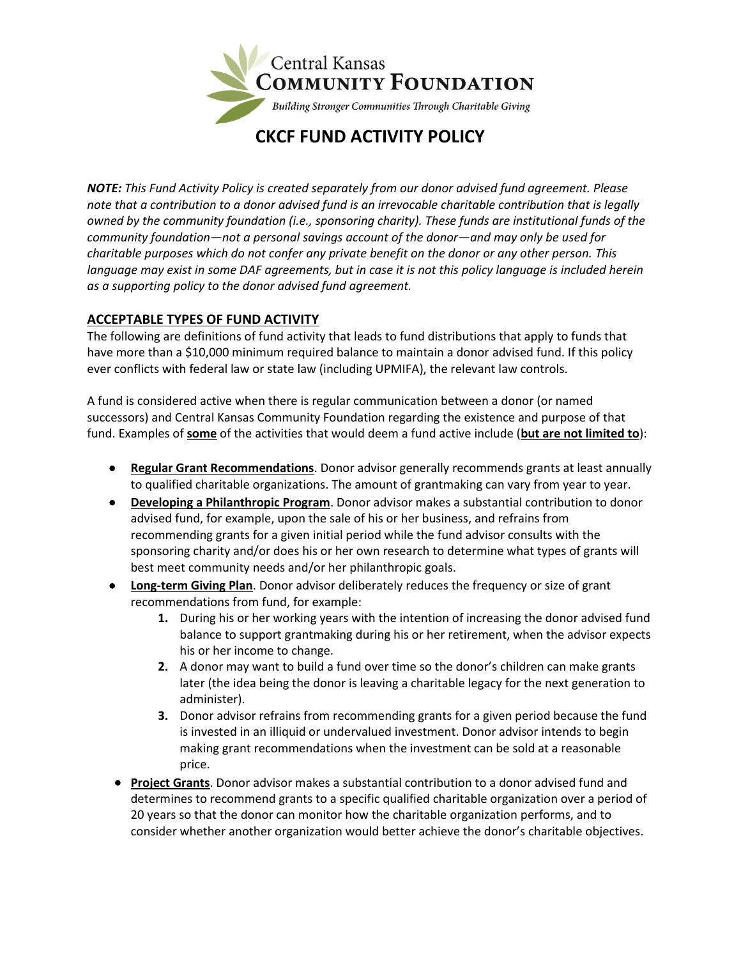

*NOTE: This Fund Activity Policy is created separately from our donor advised fund agreement. Please note that a contribution to a donor advised fund is an irrevocable charitable contribution that is legally owned by the community foundation (i.e., sponsoring charity). These funds are institutional funds of the community foundation—not a personal savings account of the donor—and may only be used for charitable purposes which do not confer any private benefit on the donor or any other person. This language may exist in some DAF agreements, but in case it is not this policy language is included herein as a supporting policy to the donor advised fund agreement.*

# **ACCEPTABLE TYPES OF FUND ACTIVITY**

The following are definitions of fund activity that leads to fund distributions that apply to funds that have more than a \$10,000 minimum required balance to maintain a donor advised fund. If this policy ever conflicts with federal law or state law (including UPMIFA), the relevant law controls.

A fund is considered active when there is regular communication between a donor (or named successors) and Central Kansas Community Foundation regarding the existence and purpose of that fund. Examples of **some** of the activities that would deem a fund active include (**but are not limited to**):

- **Regular Grant Recommendations**. Donor advisor generally recommends grants at least annually to qualified charitable organizations. The amount of grantmaking can vary from year to year.
- **Developing a Philanthropic Program**. Donor advisor makes a substantial contribution to donor advised fund, for example, upon the sale of his or her business, and refrains from recommending grants for a given initial period while the fund advisor consults with the sponsoring charity and/or does his or her own research to determine what types of grants will best meet community needs and/or her philanthropic goals.
- **Long-term Giving Plan**. Donor advisor deliberately reduces the frequency or size of grant recommendations from fund, for example:
	- **1.** During his or her working years with the intention of increasing the donor advised fund balance to support grantmaking during his or her retirement, when the advisor expects his or her income to change.
	- **2.** A donor may want to build a fund over time so the donor's children can make grants later (the idea being the donor is leaving a charitable legacy for the next generation to administer).
	- **3.** Donor advisor refrains from recommending grants for a given period because the fund is invested in an illiquid or undervalued investment. Donor advisor intends to begin making grant recommendations when the investment can be sold at a reasonable price.
- **Project Grants**. Donor advisor makes a substantial contribution to a donor advised fund and determines to recommend grants to a specific qualified charitable organization over a period of 20 years so that the donor can monitor how the charitable organization performs, and to consider whether another organization would better achieve the donor's charitable objectives.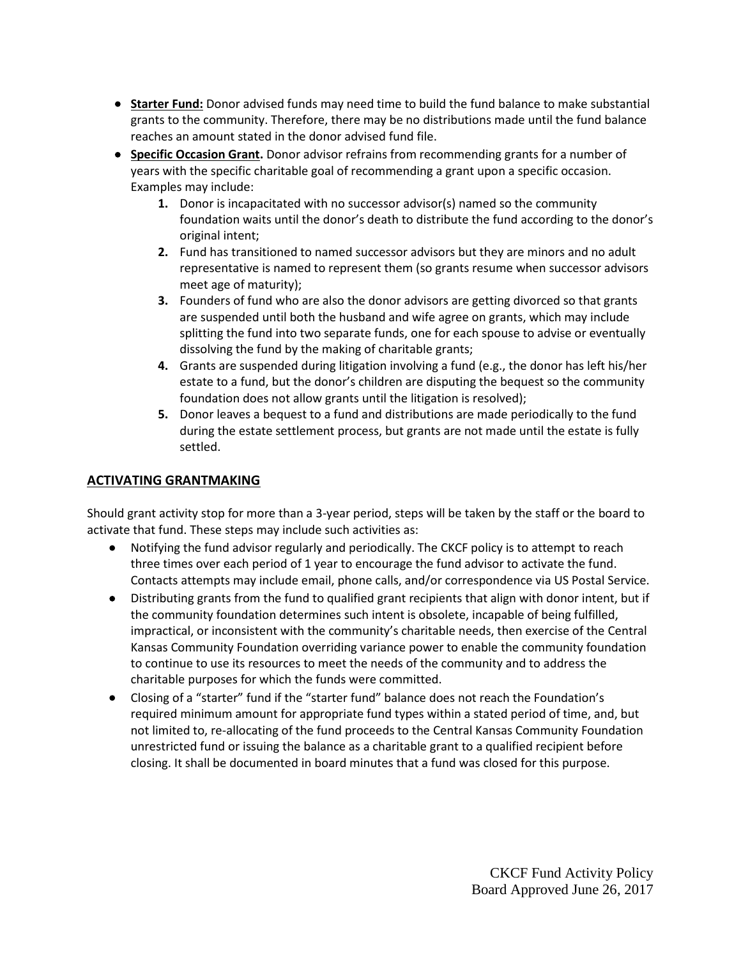- **Starter Fund:** Donor advised funds may need time to build the fund balance to make substantial grants to the community. Therefore, there may be no distributions made until the fund balance reaches an amount stated in the donor advised fund file.
- **Specific Occasion Grant.** Donor advisor refrains from recommending grants for a number of years with the specific charitable goal of recommending a grant upon a specific occasion. Examples may include:
	- **1.** Donor is incapacitated with no successor advisor(s) named so the community foundation waits until the donor's death to distribute the fund according to the donor's original intent;
	- **2.** Fund has transitioned to named successor advisors but they are minors and no adult representative is named to represent them (so grants resume when successor advisors meet age of maturity);
	- **3.** Founders of fund who are also the donor advisors are getting divorced so that grants are suspended until both the husband and wife agree on grants, which may include splitting the fund into two separate funds, one for each spouse to advise or eventually dissolving the fund by the making of charitable grants;
	- **4.** Grants are suspended during litigation involving a fund (e.g., the donor has left his/her estate to a fund, but the donor's children are disputing the bequest so the community foundation does not allow grants until the litigation is resolved);
	- **5.** Donor leaves a bequest to a fund and distributions are made periodically to the fund during the estate settlement process, but grants are not made until the estate is fully settled.

# **ACTIVATING GRANTMAKING**

Should grant activity stop for more than a 3-year period, steps will be taken by the staff or the board to activate that fund. These steps may include such activities as:

- Notifying the fund advisor regularly and periodically. The CKCF policy is to attempt to reach three times over each period of 1 year to encourage the fund advisor to activate the fund. Contacts attempts may include email, phone calls, and/or correspondence via US Postal Service.
- Distributing grants from the fund to qualified grant recipients that align with donor intent, but if the community foundation determines such intent is obsolete, incapable of being fulfilled, impractical, or inconsistent with the community's charitable needs, then exercise of the Central Kansas Community Foundation overriding variance power to enable the community foundation to continue to use its resources to meet the needs of the community and to address the charitable purposes for which the funds were committed.
- Closing of a "starter" fund if the "starter fund" balance does not reach the Foundation's required minimum amount for appropriate fund types within a stated period of time, and, but not limited to, re-allocating of the fund proceeds to the Central Kansas Community Foundation unrestricted fund or issuing the balance as a charitable grant to a qualified recipient before closing. It shall be documented in board minutes that a fund was closed for this purpose.